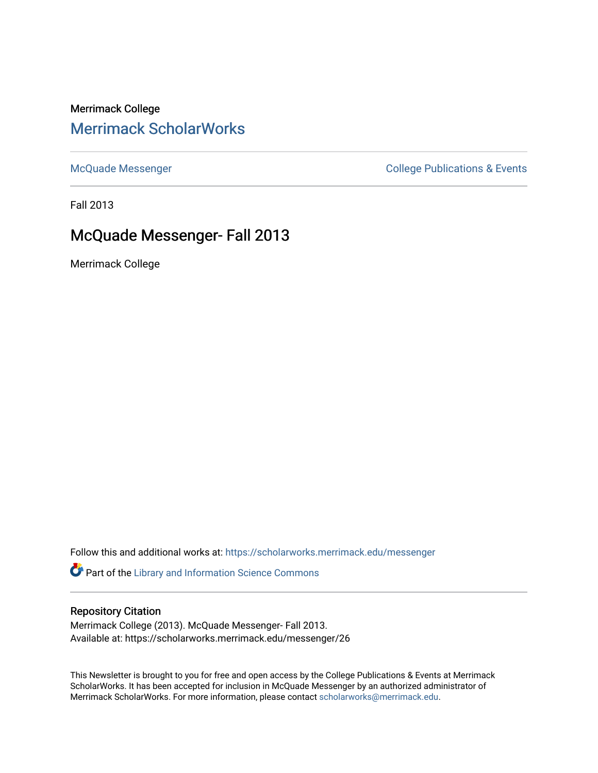Merrimack College [Merrimack ScholarWorks](https://scholarworks.merrimack.edu/) 

[McQuade Messenger](https://scholarworks.merrimack.edu/messenger) College Publications & Events

Fall 2013

# McQuade Messenger- Fall 2013

Merrimack College

Follow this and additional works at: [https://scholarworks.merrimack.edu/messenger](https://scholarworks.merrimack.edu/messenger?utm_source=scholarworks.merrimack.edu%2Fmessenger%2F26&utm_medium=PDF&utm_campaign=PDFCoverPages) 

Part of the [Library and Information Science Commons](http://network.bepress.com/hgg/discipline/1018?utm_source=scholarworks.merrimack.edu%2Fmessenger%2F26&utm_medium=PDF&utm_campaign=PDFCoverPages) 

### Repository Citation

Merrimack College (2013). McQuade Messenger- Fall 2013. Available at: https://scholarworks.merrimack.edu/messenger/26

This Newsletter is brought to you for free and open access by the College Publications & Events at Merrimack ScholarWorks. It has been accepted for inclusion in McQuade Messenger by an authorized administrator of Merrimack ScholarWorks. For more information, please contact [scholarworks@merrimack.edu](mailto:scholarworks@merrimack.edu).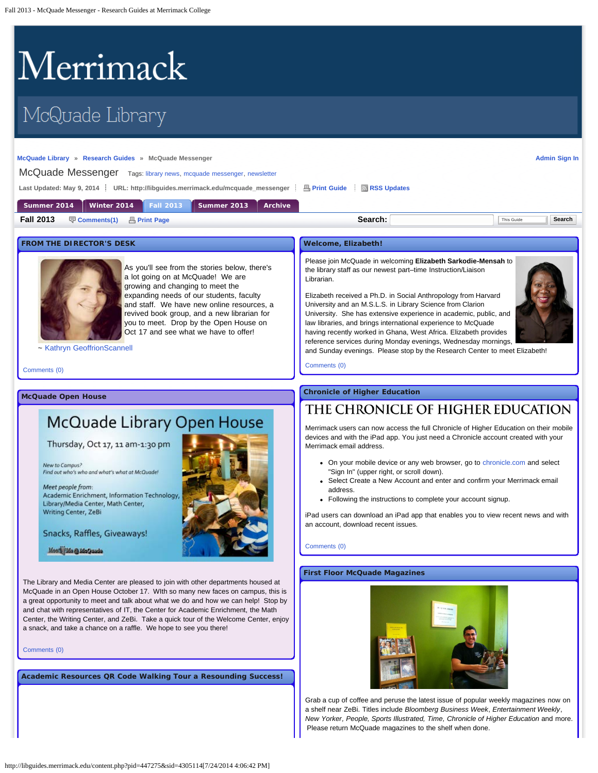# <span id="page-1-0"></span>Merrimack

# McQuade Library

#### **[McQuade Library](http://www.merrimack.edu/library) » [Research Guides](http://libguides.merrimack.edu/index.php) » McQuade Messenger**

**[Admin Sign In](https://libguides.com/login.php?iid=778&target=%2Faecontent.php%3Fpid%3D447275%26sid%3D4305114)** McQuade Messenger Tags: [library news](http://libguides.merrimack.edu/searchtags.php?iid=778&tag=library%20news), [mcquade messenger](http://libguides.merrimack.edu/searchtags.php?iid=778&tag=mcquade%20messenger), newsletter Last Updated: May 9, 2014 <sup>2</sup> URL: http://libguides.merrimack.edu/mcquade\_messenger <sup>2</sup> B [Print Guide](http://libguides.merrimack.edu/print_content.php?pid=447275&sid=4305114&mode=g) <sup>2</sup> [RSS Updates](#page-1-0)

| Summer 2014      |  |               |  |              | Winter 2014 Fall 2013 Summer 2013 | <b>Archive</b> |         |                      |
|------------------|--|---------------|--|--------------|-----------------------------------|----------------|---------|----------------------|
| <b>Fall 2013</b> |  | 导 Comments(1) |  | 昌 Print Page |                                   |                | Search: | Search<br>This Guide |
|                  |  |               |  |              |                                   |                |         |                      |

#### **FROM THE DIRECTOR'S DESK**



As you'll see from the stories below, there's a lot going on at McQuade! We are growing and changing to meet the expanding needs of our students, faculty and staff. We have new online resources, a revived book group, and a new librarian for you to meet. Drop by the Open House on Oct 17 and see what we have to offer!

#### ~ [Kathryn GeoffrionScannell](mailto:%20geoffrionscannellk@merrimack.edu)

[Comments \(0\)](#page-1-0)

**McQuade Open House**

# McQuade Library Open House

Thursday, Oct 17, 11 am-1:30 pm

New to Campus? Find out who's who and what's what at McQuade!

Meet people from: Academic Enrichment, Information Technology, Library/Media Center, Math Center, Writing Center, ZeBi

Snacks, Raffles, Giveaways!

Meet Ma @ MoQuada

The Library and Media Center are pleased to join with other departments housed at McQuade in an Open House October 17. WIth so many new faces on campus, this is a great opportunity to meet and talk about what we do and how we can help! Stop by and chat with representatives of IT, the Center for Academic Enrichment, the Math Center, the Writing Center, and ZeBi. Take a quick tour of the Welcome Center, enjoy a snack, and take a chance on a raffle. We hope to see you there!

[Comments \(0\)](#page-1-0)

**Academic Resources QR Code Walking Tour a Resounding Success!**



#### **Welcome, Elizabeth!**

Please join McQuade in welcoming **Elizabeth Sarkodie-Mensah** to the library staff as our newest part–time Instruction/Liaison Librarian.

Elizabeth received a Ph.D. in Social Anthropology from Harvard University and an M.S.L.S. in Library Science from Clarion University. She has extensive experience in academic, public, and law libraries, and brings international experience to McQuade having recently worked in Ghana, West Africa. Elizabeth provides reference services during Monday evenings, Wednesday mornings, and Sunday evenings. Please stop by the Research Center to meet Elizabeth!



[Comments \(0\)](#page-1-0)

**Chronicle of Higher Education**

# THE CHRONICLE OF HIGHER EDUCATION

Merrimack users can now access the full Chronicle of Higher Education on their mobile devices and with the iPad app. You just need a Chronicle account created with your Merrimack email address.

- On your mobile device or any web browser, go to [chronicle.com](http://chronicle.com/) and select "Sign In" (upper right, or scroll down).
- Select Create a New Account and enter and confirm your Merrimack email address.
- Following the instructions to complete your account signup.

iPad users can download an iPad app that enables you to view recent news and with an account, download recent issues.

[Comments \(0\)](#page-1-0)

#### **First Floor McQuade Magazines**



Grab a cup of coffee and peruse the latest issue of popular weekly magazines now on a shelf near ZeBi. Titles include *Bloomberg Business Week*, *Entertainment Weekly*, *New Yorker, People, Sports Illustrated, Time, Chronicle of Higher Education* and more. Please return McQuade magazines to the shelf when done.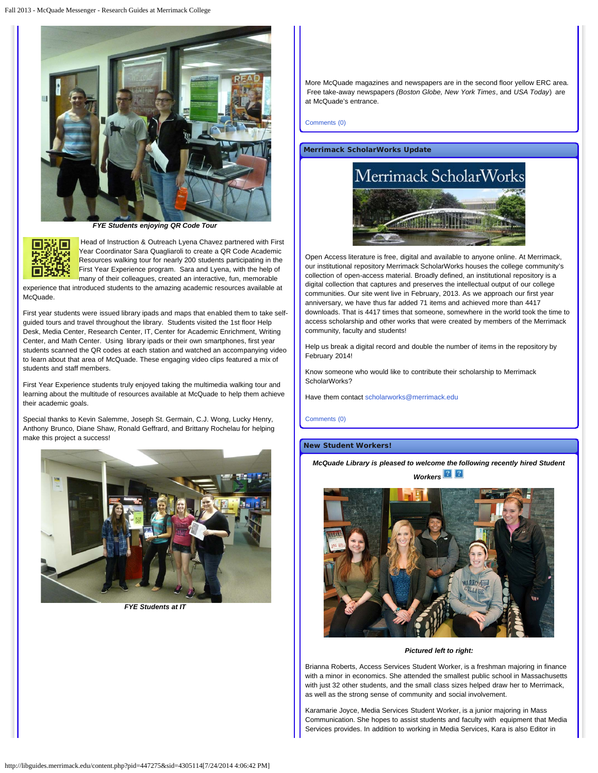

*FYE Students enjoying QR Code Tour*



Head of Instruction & Outreach Lyena Chavez partnered with First Year Coordinator Sara Quagliaroli to create a QR Code Academic Resources walking tour for nearly 200 students participating in the First Year Experience program. Sara and Lyena, with the help of many of their colleagues, created an interactive, fun, memorable

experience that introduced students to the amazing academic resources available at McQuade.

First year students were issued library ipads and maps that enabled them to take selfguided tours and travel throughout the library. Students visited the 1st floor Help Desk, Media Center, Research Center, IT, Center for Academic Enrichment, Writing Center, and Math Center. Using library ipads or their own smartphones, first year students scanned the QR codes at each station and watched an accompanying video to learn about that area of McQuade. These engaging video clips featured a mix of students and staff members.

First Year Experience students truly enjoyed taking the multimedia walking tour and learning about the multitude of resources available at McQuade to help them achieve their academic goals.

Special thanks to Kevin Salemme, Joseph St. Germain, C.J. Wong, Lucky Henry, Anthony Brunco, Diane Shaw, Ronald Geffrard, and Brittany Rochelau for helping make this project a success!



*FYE Students at IT*

More McQuade magazines and newspapers are in the second floor yellow ERC area. Free take-away newspapers *(Boston Globe, New York Times*, and *USA Today*) are at McQuade's entrance.

[Comments \(0\)](#page-1-0)

#### **Merrimack ScholarWorks Update**



Open Access literature is free, digital and available to anyone online. At Merrimack, our institutional repository Merrimack ScholarWorks houses the college community's collection of open-access material. Broadly defined, an institutional repository is a digital collection that captures and preserves the intellectual output of our college communities. Our site went live in February, 2013. As we approach our first year anniversary, we have thus far added 71 items and achieved more than 4417 downloads. That is 4417 times that someone, somewhere in the world took the time to access scholarship and other works that were created by members of the Merrimack community, faculty and students!

Help us break a digital record and double the number of items in the repository by February 2014!

Know someone who would like to contribute their scholarship to Merrimack ScholarWorks?

Have them contact [scholarworks@merrimack.edu](mailto:%20scholarworks@merrimack.edu)

[Comments \(0\)](#page-1-0)

#### **New Student Workers!**

*McQuade Library is pleased to welcome the following recently hired Student Workers*



*Pictured left to right:*

Brianna Roberts, Access Services Student Worker, is a freshman majoring in finance with a minor in economics. She attended the smallest public school in Massachusetts with just 32 other students, and the small class sizes helped draw her to Merrimack, as well as the strong sense of community and social involvement.

Karamarie Joyce, Media Services Student Worker, is a junior majoring in Mass Communication. She hopes to assist students and faculty with equipment that Media Services provides. In addition to working in Media Services, Kara is also Editor in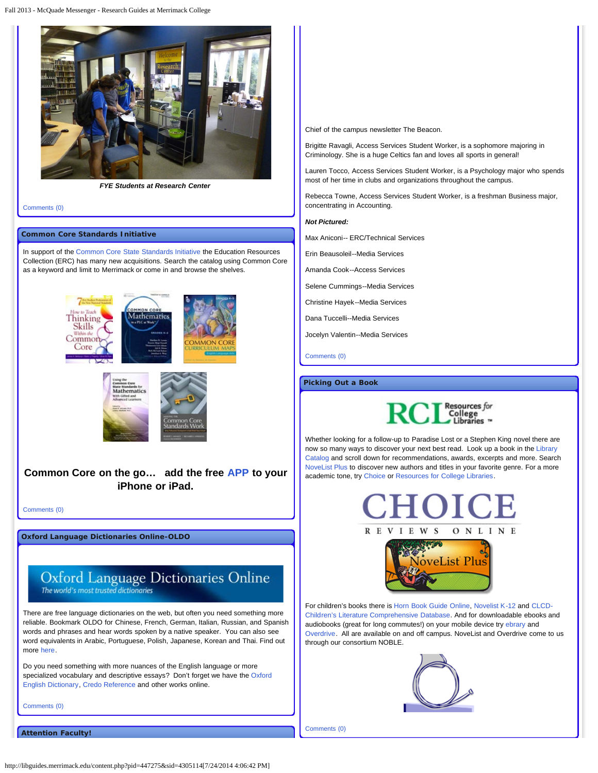

*FYE Students at Research Center*

[Comments \(0\)](#page-1-0)

#### **Common Core Standards Initiative**

In support of the [Common Core State Standards Initiative](http://www.google.com/url?q=http%3A%2F%2Fwww.corestandards.org%2F&sa=D&sntz=1&usg=AFQjCNEG1GuqZy8sZAGMrhGK94hERxBYSQ) the Education Resources Collection (ERC) has many new acquisitions. Search the catalog using Common Core as a keyword and limit to Merrimack or come in and browse the shelves.





**Common Core on the go… add the free [APP](https://itunes.apple.com/us/app/common-core-standards/id439424555?mt=8) to your iPhone or iPad.**

[Comments \(0\)](#page-1-0)

**Oxford Language Dictionaries Online-OLDO**

## Oxford Language Dictionaries Online The world's most trusted dictionaries

There are free language dictionaries on the web, but often you need something more reliable. Bookmark OLDO for Chinese, French, German, Italian, Russian, and Spanish words and phrases and hear words spoken by a native speaker. You can also see word equivalents in Arabic, Portuguese, Polish, Japanese, Korean and Thai. Find out more [here.](http://server1.noblenet.org/merrimack/blog1/resources/chinese-french-italian-spanish-german-russian/)

Do you need something with more nuances of the English language or more specialized vocabulary and descriptive essays? Don't forget we have the [Oxford](http://proxy3.noblenet.org/login?url=http://www.oed.com) [English Dictionary,](http://proxy3.noblenet.org/login?url=http://www.oed.com) [Credo Reference](http://proxy3.noblenet.org/login?url=http://www.credoreference.com/) and other works online.

[Comments \(0\)](#page-1-0)

**Attention Faculty!**

Chief of the campus newsletter The Beacon.

Brigitte Ravagli, Access Services Student Worker, is a sophomore majoring in Criminology. She is a huge Celtics fan and loves all sports in general!

Lauren Tocco, Access Services Student Worker, is a Psychology major who spends most of her time in clubs and organizations throughout the campus.

Rebecca Towne, Access Services Student Worker, is a freshman Business major, concentrating in Accounting.

#### *Not Pictured:*

Max Aniconi-- ERC/Technical Services

Erin Beausoleil--Media Services

Amanda Cook--Access Services

Selene Cummings--Media Services

Christine Hayek--Media Services

Dana Tuccelli--Media Services

Jocelyn Valentin--Media Services

[Comments \(0\)](#page-1-0)

#### **Picking Out a Book**



Whether looking for a follow-up to Paradise Lost or a Stephen King novel there are now so many ways to discover your next best read. Look up a book in the [Library](http://merrimack.noblenet.org/eg/opac/home?locg=30) [Catalog](http://merrimack.noblenet.org/eg/opac/home?locg=30) and scroll down for recommendations, awards, excerpts and more. Search [NoveList Plus](http://proxy3.noblenet.org/login?url=http://search.ebscohost.com/login.asp?authtype=ip&profile=novplus) to discover new authors and titles in your favorite genre. For a more academic tone, try [Choice](http://proxy3.noblenet.org/login?url=http://www.cro3.org) or [Resources for College Libraries](http://proxy3.noblenet.org/login?url=http://rclweb2.net/).



For children's books there is [Horn Book Guide Online,](http://proxy3.noblenet.org/login?url=http://www.hornbookguide.com/cgi-bin/hbonline.pl?s=135686) [Novelist K-12](http://proxy3.noblenet.org/login?url=http://search.ebscohost.com/login.asp?authtype=ip&profile=novpk8) and [CLCD-](http://proxy3.noblenet.org/login?url=http://clcd.odyssi.com/member/csearch.htm)[Children's Literature Comprehensive Database](http://proxy3.noblenet.org/login?url=http://clcd.odyssi.com/member/csearch.htm). And for downloadable ebooks and audiobooks (great for long commutes!) on your mobile device try [ebrary](http://site.ebrary.com/lib/merrimack/) and [Overdrive.](http://overdrive.noblenet.org/) All are available on and off campus. NoveList and Overdrive come to us through our consortium NOBLE.



[Comments \(0\)](#page-1-0)